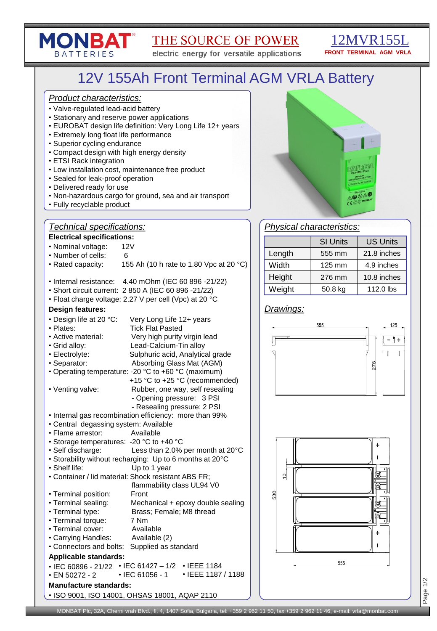# THE SOURCE OF POWER

electric energy for versatile applications

## 12MVR155L **FRONT TERMINAL AGM VRLA**

# 12V 155Ah Front Terminal AGM VRLA Battery

#### *Product characteristics:*

**MONBAT®** 

**BATTERIES** 

- Valve-regulated lead-acid battery
- Stationary and reserve power applications
- EUROBAT design life definition: Very Long Life 12+ years
- Extremely long float life performance
- Superior cycling endurance
- Compact design with high energy density
- ETSI Rack integration
- Low installation cost, maintenance free product
- Sealed for leak-proof operation
- Delivered ready for use
- Non-hazardous cargo for ground, sea and air transport
- Fully recyclable product

# *Technical specifications:*

#### **Electrical specifications:**

| Electrical specifications:                    |                                                          |  |  |  |  |  |  |
|-----------------------------------------------|----------------------------------------------------------|--|--|--|--|--|--|
| • Nominal voltage:                            | 12V                                                      |  |  |  |  |  |  |
| • Number of cells:                            | 6                                                        |  |  |  |  |  |  |
| • Rated capacity:                             | 155 Ah (10 h rate to 1.80 Vpc at 20 °C)                  |  |  |  |  |  |  |
| • Internal resistance:                        | 4.40 mOhm (IEC 60 896 -21/22)                            |  |  |  |  |  |  |
|                                               | • Short circuit current: 2 850 A (IEC 60 896 -21/22)     |  |  |  |  |  |  |
|                                               | • Float charge voltage: 2.27 V per cell (Vpc) at 20 °C   |  |  |  |  |  |  |
| <b>Design features:</b>                       |                                                          |  |  |  |  |  |  |
| • Design life at 20 °C:                       | Very Long Life 12+ years                                 |  |  |  |  |  |  |
| • Plates:                                     | <b>Tick Flat Pasted</b>                                  |  |  |  |  |  |  |
| • Active material:                            | Very high purity virgin lead                             |  |  |  |  |  |  |
| • Grid alloy:                                 | Lead-Calcium-Tin alloy                                   |  |  |  |  |  |  |
| · Electrolyte:                                | Sulphuric acid, Analytical grade                         |  |  |  |  |  |  |
| • Separator:                                  | Absorbing Glass Mat (AGM)                                |  |  |  |  |  |  |
|                                               | • Operating temperature: -20 °C to +60 °C (maximum)      |  |  |  |  |  |  |
|                                               | +15 °C to +25 °C (recommended)                           |  |  |  |  |  |  |
| • Venting valve:                              | Rubber, one way, self resealing                          |  |  |  |  |  |  |
|                                               | - Opening pressure: 3 PSI                                |  |  |  |  |  |  |
|                                               | - Resealing pressure: 2 PSI                              |  |  |  |  |  |  |
|                                               | • Internal gas recombination efficiency: more than 99%   |  |  |  |  |  |  |
| • Central degassing system: Available         |                                                          |  |  |  |  |  |  |
| · Flame arrestor:                             | Available                                                |  |  |  |  |  |  |
| • Storage temperatures: - 20 °C to +40 °C     |                                                          |  |  |  |  |  |  |
| · Self discharge:                             | Less than 2.0% per month at 20°C                         |  |  |  |  |  |  |
|                                               | • Storability without recharging: Up to 6 months at 20°C |  |  |  |  |  |  |
| • Shelf life:                                 | Up to 1 year                                             |  |  |  |  |  |  |
|                                               | • Container / lid material: Shock resistant ABS FR;      |  |  |  |  |  |  |
|                                               | flammability class UL94 V0                               |  |  |  |  |  |  |
| • Terminal position:<br>· Terminal sealing:   | Front<br>Mechanical + epoxy double sealing               |  |  |  |  |  |  |
| • Terminal type:                              | Brass; Female; M8 thread                                 |  |  |  |  |  |  |
| • Terminal torque:                            | 7 Nm                                                     |  |  |  |  |  |  |
| • Terminal cover:                             | Available                                                |  |  |  |  |  |  |
| • Carrying Handles:                           | Available (2)                                            |  |  |  |  |  |  |
| • Connectors and bolts:                       | Supplied as standard                                     |  |  |  |  |  |  |
| <b>Applicable standards:</b>                  |                                                          |  |  |  |  |  |  |
| • IEC 60896 - 21/22 • IEC 61427 – 1/2         | • IEEE 1184                                              |  |  |  |  |  |  |
| $\cdot$ EN 50272 - 2                          | • IEEE 1187 / 1188<br>• IEC 61056 - 1                    |  |  |  |  |  |  |
|                                               |                                                          |  |  |  |  |  |  |
| <b>Manufacture standards:</b>                 |                                                          |  |  |  |  |  |  |
| • ISO 9001, ISO 14001, OHSAS 18001, AQAP 2110 |                                                          |  |  |  |  |  |  |



# *Physical characteristics:*

|        | <b>SI Units</b>  | <b>US Units</b> |
|--------|------------------|-----------------|
| Length | 555 mm           | 21.8 inches     |
| Width  | $125 \text{ mm}$ | 4.9 inches      |
| Height | 276 mm           | 10.8 inches     |
| Weight | 50.8 kg          | 112.0 lbs       |

## *Drawings:*





Page 1/2